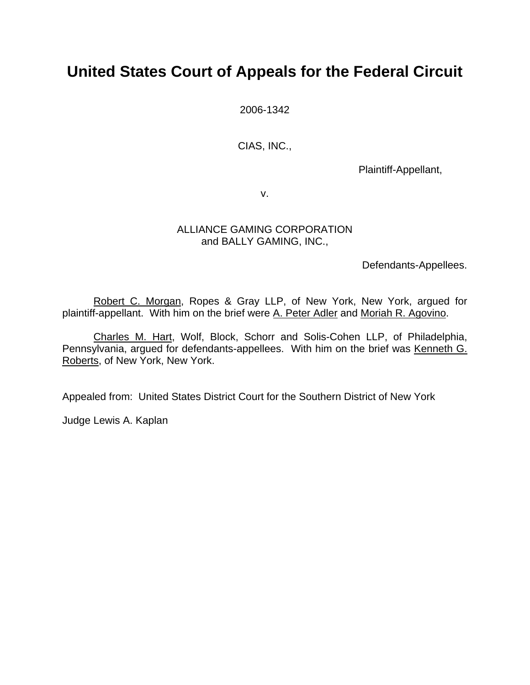# **United States Court of Appeals for the Federal Circuit**

2006-1342

CIAS, INC.,

Plaintiff-Appellant,

v.

## ALLIANCE GAMING CORPORATION and BALLY GAMING, INC.,

Defendants-Appellees.

 Robert C. Morgan, Ropes & Gray LLP, of New York, New York, argued for plaintiff-appellant. With him on the brief were A. Peter Adler and Moriah R. Agovino.

 Charles M. Hart, Wolf, Block, Schorr and Solis-Cohen LLP, of Philadelphia, Pennsylvania, argued for defendants-appellees. With him on the brief was Kenneth G. Roberts, of New York, New York.

Appealed from: United States District Court for the Southern District of New York

Judge Lewis A. Kaplan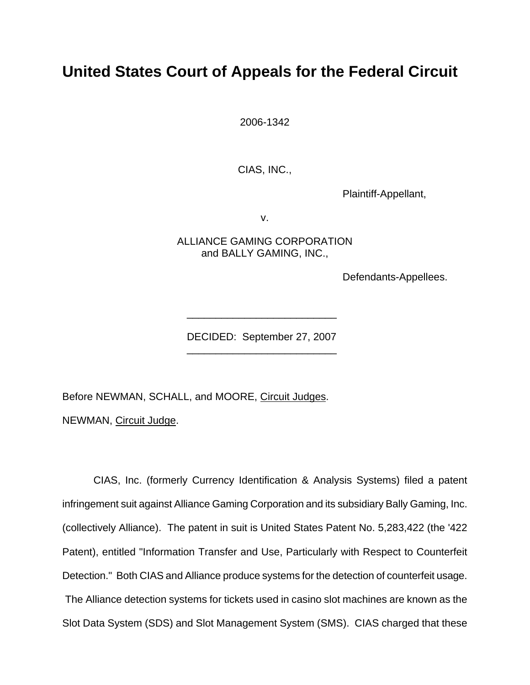## **United States Court of Appeals for the Federal Circuit**

2006-1342

CIAS, INC.,

Plaintiff-Appellant,

v.

ALLIANCE GAMING CORPORATION and BALLY GAMING, INC.,

Defendants-Appellees.

DECIDED: September 27, 2007 \_\_\_\_\_\_\_\_\_\_\_\_\_\_\_\_\_\_\_\_\_\_\_\_\_\_

\_\_\_\_\_\_\_\_\_\_\_\_\_\_\_\_\_\_\_\_\_\_\_\_\_\_

Before NEWMAN, SCHALL, and MOORE, Circuit Judges.

NEWMAN, Circuit Judge.

CIAS, Inc. (formerly Currency Identification & Analysis Systems) filed a patent infringement suit against Alliance Gaming Corporation and its subsidiary Bally Gaming, Inc. (collectively Alliance). The patent in suit is United States Patent No. 5,283,422 (the '422 Patent), entitled "Information Transfer and Use, Particularly with Respect to Counterfeit Detection." Both CIAS and Alliance produce systems for the detection of counterfeit usage. The Alliance detection systems for tickets used in casino slot machines are known as the Slot Data System (SDS) and Slot Management System (SMS). CIAS charged that these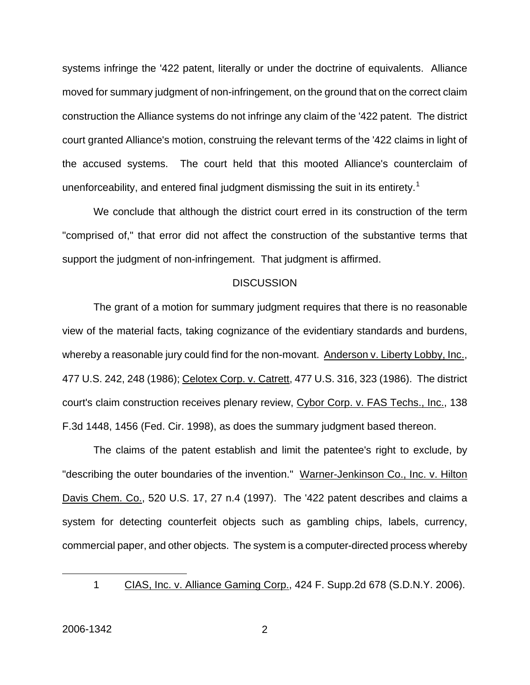systems infringe the '422 patent, literally or under the doctrine of equivalents. Alliance moved for summary judgment of non-infringement, on the ground that on the correct claim construction the Alliance systems do not infringe any claim of the '422 patent. The district court granted Alliance's motion, construing the relevant terms of the '422 claims in light of the accused systems. The court held that this mooted Alliance's counterclaim of unenforceability, and entered final judgment dismissing the suit in its entirety.<sup>[1](#page-2-0)</sup>

We conclude that although the district court erred in its construction of the term "comprised of," that error did not affect the construction of the substantive terms that support the judgment of non-infringement. That judgment is affirmed.

#### **DISCUSSION**

The grant of a motion for summary judgment requires that there is no reasonable view of the material facts, taking cognizance of the evidentiary standards and burdens, whereby a reasonable jury could find for the non-movant. Anderson v. Liberty Lobby, Inc., 477 U.S. 242, 248 (1986); Celotex Corp. v. Catrett, 477 U.S. 316, 323 (1986). The district court's claim construction receives plenary review, Cybor Corp. v. FAS Techs., Inc., 138 F.3d 1448, 1456 (Fed. Cir. 1998), as does the summary judgment based thereon.

The claims of the patent establish and limit the patentee's right to exclude, by "describing the outer boundaries of the invention." Warner-Jenkinson Co., Inc. v. Hilton Davis Chem. Co., 520 U.S. 17, 27 n.4 (1997). The '422 patent describes and claims a system for detecting counterfeit objects such as gambling chips, labels, currency, commercial paper, and other objects. The system is a computer-directed process whereby

<span id="page-2-0"></span> $\overline{a}$ 

<sup>1</sup> CIAS, Inc. v. Alliance Gaming Corp., 424 F. Supp.2d 678 (S.D.N.Y. 2006).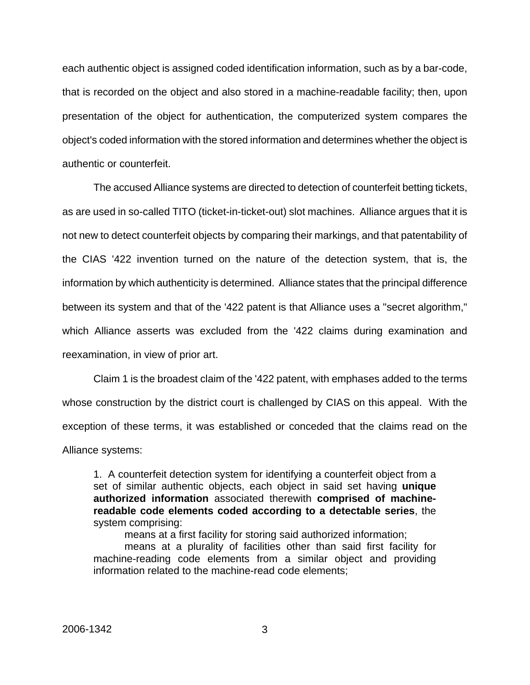each authentic object is assigned coded identification information, such as by a bar-code, that is recorded on the object and also stored in a machine-readable facility; then, upon presentation of the object for authentication, the computerized system compares the object's coded information with the stored information and determines whether the object is authentic or counterfeit.

The accused Alliance systems are directed to detection of counterfeit betting tickets, as are used in so-called TITO (ticket-in-ticket-out) slot machines. Alliance argues that it is not new to detect counterfeit objects by comparing their markings, and that patentability of the CIAS '422 invention turned on the nature of the detection system, that is, the information by which authenticity is determined. Alliance states that the principal difference between its system and that of the '422 patent is that Alliance uses a "secret algorithm," which Alliance asserts was excluded from the '422 claims during examination and reexamination, in view of prior art.

Claim 1 is the broadest claim of the '422 patent, with emphases added to the terms whose construction by the district court is challenged by CIAS on this appeal. With the exception of these terms, it was established or conceded that the claims read on the Alliance systems:

1. A counterfeit detection system for identifying a counterfeit object from a set of similar authentic objects, each object in said set having **unique authorized information** associated therewith **comprised of machinereadable code elements coded according to a detectable series**, the system comprising:

means at a first facility for storing said authorized information;

means at a plurality of facilities other than said first facility for machine-reading code elements from a similar object and providing information related to the machine-read code elements;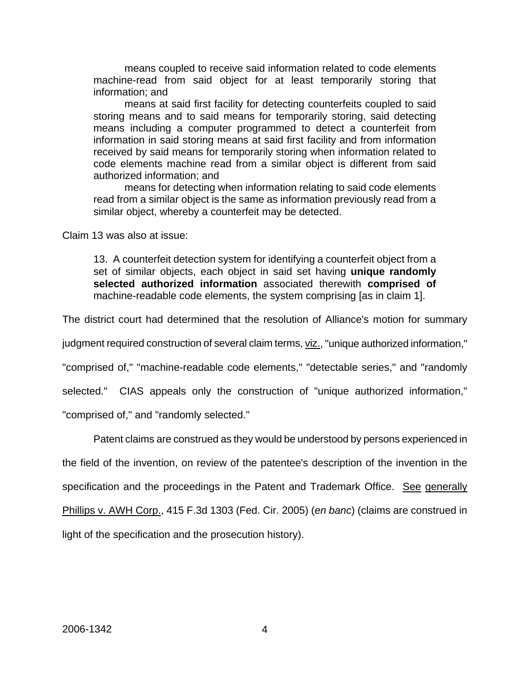means coupled to receive said information related to code elements machine-read from said object for at least temporarily storing that information; and

means at said first facility for detecting counterfeits coupled to said storing means and to said means for temporarily storing, said detecting means including a computer programmed to detect a counterfeit from information in said storing means at said first facility and from information received by said means for temporarily storing when information related to code elements machine read from a similar object is different from said authorized information; and

means for detecting when information relating to said code elements read from a similar object is the same as information previously read from a similar object, whereby a counterfeit may be detected.

Claim 13 was also at issue:

13. A counterfeit detection system for identifying a counterfeit object from a set of similar objects, each object in said set having **unique randomly selected authorized information** associated therewith **comprised of** machine-readable code elements, the system comprising [as in claim 1].

The district court had determined that the resolution of Alliance's motion for summary

judgment required construction of several claim terms, viz., "unique authorized information,"

"comprised of," "machine-readable code elements," "detectable series," and "randomly

selected." CIAS appeals only the construction of "unique authorized information,"

"comprised of," and "randomly selected."

Patent claims are construed as they would be understood by persons experienced in

the field of the invention, on review of the patentee's description of the invention in the

specification and the proceedings in the Patent and Trademark Office. See generally

Phillips v. AWH Corp., 415 F.3d 1303 (Fed. Cir. 2005) (*en banc*) (claims are construed in

light of the specification and the prosecution history).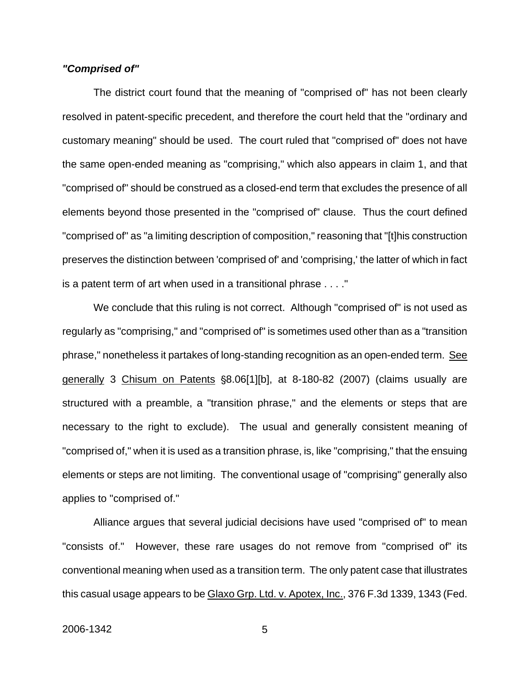### *"Comprised of"*

The district court found that the meaning of "comprised of" has not been clearly resolved in patent-specific precedent, and therefore the court held that the "ordinary and customary meaning" should be used. The court ruled that "comprised of" does not have the same open-ended meaning as "comprising," which also appears in claim 1, and that "comprised of" should be construed as a closed-end term that excludes the presence of all elements beyond those presented in the "comprised of" clause. Thus the court defined "comprised of" as "a limiting description of composition," reasoning that "[t]his construction preserves the distinction between 'comprised of' and 'comprising,' the latter of which in fact is a patent term of art when used in a transitional phrase . . . ."

We conclude that this ruling is not correct. Although "comprised of" is not used as regularly as "comprising," and "comprised of" is sometimes used other than as a "transition phrase," nonetheless it partakes of long-standing recognition as an open-ended term. See generally 3 Chisum on Patents \\$8.06[1][b], at 8-180-82 (2007) (claims usually are structured with a preamble, a "transition phrase," and the elements or steps that are necessary to the right to exclude). The usual and generally consistent meaning of "comprised of," when it is used as a transition phrase, is, like "comprising," that the ensuing elements or steps are not limiting. The conventional usage of "comprising" generally also applies to "comprised of."

Alliance argues that several judicial decisions have used "comprised of" to mean "consists of." However, these rare usages do not remove from "comprised of" its conventional meaning when used as a transition term. The only patent case that illustrates this casual usage appears to be Glaxo Grp. Ltd. v. Apotex, Inc., 376 F.3d 1339, 1343 (Fed.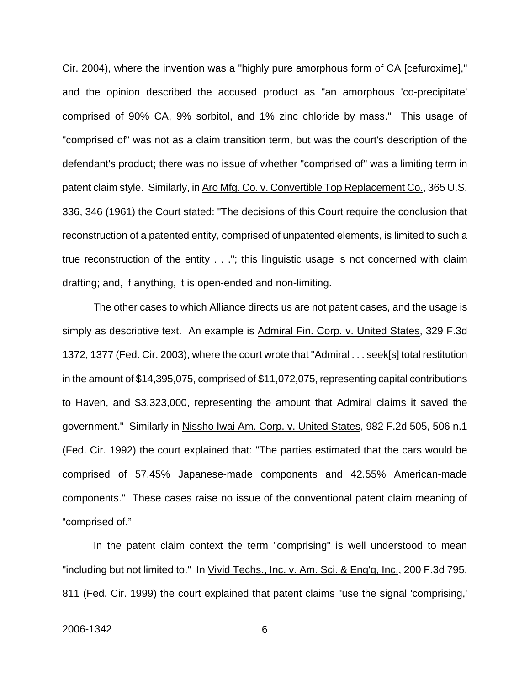Cir. 2004), where the invention was a "highly pure amorphous form of CA [cefuroxime]," and the opinion described the accused product as "an amorphous 'co-precipitate' comprised of 90% CA, 9% sorbitol, and 1% zinc chloride by mass." This usage of "comprised of" was not as a claim transition term, but was the court's description of the defendant's product; there was no issue of whether "comprised of" was a limiting term in patent claim style. Similarly, in Aro Mfg. Co. v. Convertible Top Replacement Co., 365 U.S. 336, 346 (1961) the Court stated: "The decisions of this Court require the conclusion that reconstruction of a patented entity, comprised of unpatented elements, is limited to such a true reconstruction of the entity . . ."; this linguistic usage is not concerned with claim drafting; and, if anything, it is open-ended and non-limiting.

The other cases to which Alliance directs us are not patent cases, and the usage is simply as descriptive text. An example is Admiral Fin. Corp. v. United States, 329 F.3d 1372, 1377 (Fed. Cir. 2003), where the court wrote that "Admiral . . . seek[s] total restitution in the amount of \$14,395,075, comprised of \$11,072,075, representing capital contributions to Haven, and \$3,323,000, representing the amount that Admiral claims it saved the government." Similarly in Nissho Iwai Am. Corp. v. United States, 982 F.2d 505, 506 n.1 (Fed. Cir. 1992) the court explained that: "The parties estimated that the cars would be comprised of 57.45% Japanese-made components and 42.55% American-made components." These cases raise no issue of the conventional patent claim meaning of "comprised of."

In the patent claim context the term "comprising" is well understood to mean "including but not limited to." In Vivid Techs., Inc. v. Am. Sci. & Eng'g, Inc., 200 F.3d 795, 811 (Fed. Cir. 1999) the court explained that patent claims "use the signal 'comprising,'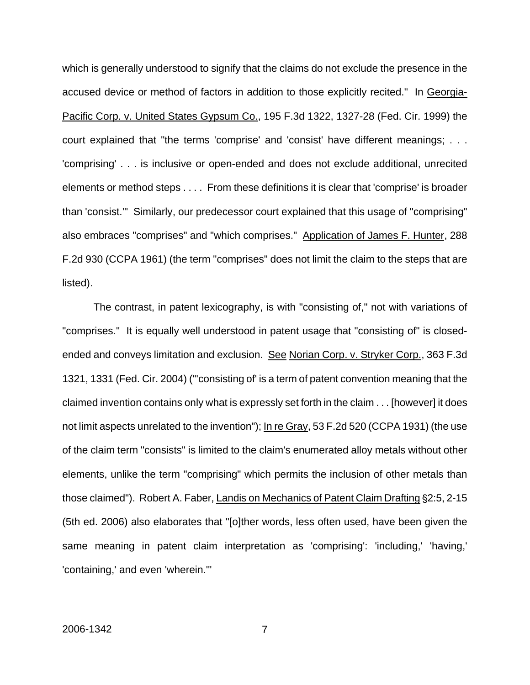which is generally understood to signify that the claims do not exclude the presence in the accused device or method of factors in addition to those explicitly recited." In Georgia-Pacific Corp. v. United States Gypsum Co., 195 F.3d 1322, 1327-28 (Fed. Cir. 1999) the court explained that "the terms 'comprise' and 'consist' have different meanings; . . . 'comprising' . . . is inclusive or open-ended and does not exclude additional, unrecited elements or method steps . . . . From these definitions it is clear that 'comprise' is broader than 'consist.'" Similarly, our predecessor court explained that this usage of "comprising" also embraces "comprises" and "which comprises." Application of James F. Hunter, 288 F.2d 930 (CCPA 1961) (the term "comprises" does not limit the claim to the steps that are listed).

The contrast, in patent lexicography, is with "consisting of," not with variations of "comprises." It is equally well understood in patent usage that "consisting of" is closedended and conveys limitation and exclusion. See Norian Corp. v. Stryker Corp., 363 F.3d 1321, 1331 (Fed. Cir. 2004) ("'consisting of' is a term of patent convention meaning that the claimed invention contains only what is expressly set forth in the claim . . . [however] it does not limit aspects unrelated to the invention"); In re Gray, 53 F.2d 520 (CCPA 1931) (the use of the claim term "consists" is limited to the claim's enumerated alloy metals without other elements, unlike the term "comprising" which permits the inclusion of other metals than those claimed"). Robert A. Faber, Landis on Mechanics of Patent Claim Drafting §2:5, 2-15 (5th ed. 2006) also elaborates that "[o]ther words, less often used, have been given the same meaning in patent claim interpretation as 'comprising': 'including,' 'having,' 'containing,' and even 'wherein.'"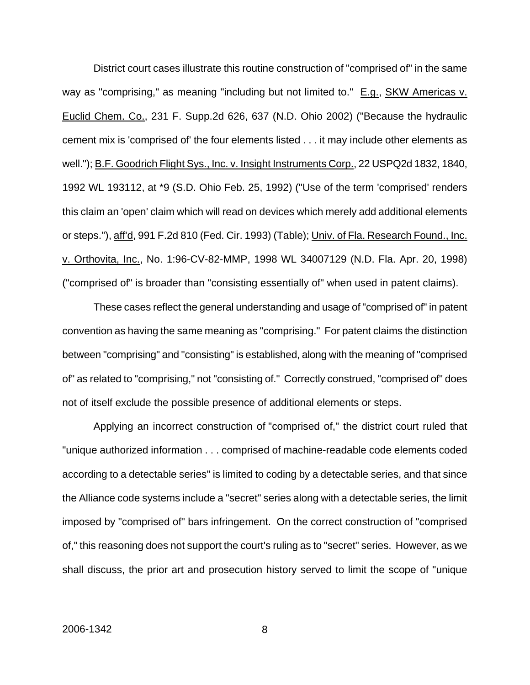District court cases illustrate this routine construction of "comprised of" in the same way as "comprising," as meaning "including but not limited to." E.g., SKW Americas v. Euclid Chem. Co., 231 F. Supp.2d 626, 637 (N.D. Ohio 2002) ("Because the hydraulic cement mix is 'comprised of' the four elements listed . . . it may include other elements as well."); B.F. Goodrich Flight Sys., Inc. v. Insight Instruments Corp., 22 USPQ2d 1832, 1840, 1992 WL 193112, at \*9 (S.D. Ohio Feb. 25, 1992) ("Use of the term 'comprised' renders this claim an 'open' claim which will read on devices which merely add additional elements or steps."), aff'd, 991 F.2d 810 (Fed. Cir. 1993) (Table); Univ. of Fla. Research Found., Inc. v. Orthovita, Inc., No. 1:96-CV-82-MMP, 1998 WL 34007129 (N.D. Fla. Apr. 20, 1998) ("comprised of" is broader than "consisting essentially of" when used in patent claims).

These cases reflect the general understanding and usage of "comprised of" in patent convention as having the same meaning as "comprising." For patent claims the distinction between "comprising" and "consisting" is established, along with the meaning of "comprised of" as related to "comprising," not "consisting of." Correctly construed, "comprised of" does not of itself exclude the possible presence of additional elements or steps.

Applying an incorrect construction of "comprised of," the district court ruled that "unique authorized information . . . comprised of machine-readable code elements coded according to a detectable series" is limited to coding by a detectable series, and that since the Alliance code systems include a "secret" series along with a detectable series, the limit imposed by "comprised of" bars infringement. On the correct construction of "comprised of," this reasoning does not support the court's ruling as to "secret" series. However, as we shall discuss, the prior art and prosecution history served to limit the scope of "unique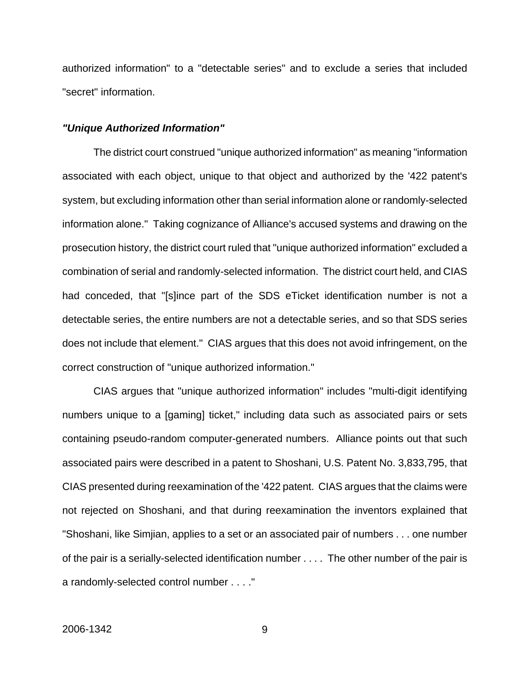authorized information" to a "detectable series" and to exclude a series that included "secret" information.

#### *"Unique Authorized Information"*

The district court construed "unique authorized information" as meaning "information associated with each object, unique to that object and authorized by the '422 patent's system, but excluding information other than serial information alone or randomly-selected information alone." Taking cognizance of Alliance's accused systems and drawing on the prosecution history, the district court ruled that "unique authorized information" excluded a combination of serial and randomly-selected information. The district court held, and CIAS had conceded, that "[s]ince part of the SDS eTicket identification number is not a detectable series, the entire numbers are not a detectable series, and so that SDS series does not include that element." CIAS argues that this does not avoid infringement, on the correct construction of "unique authorized information."

CIAS argues that "unique authorized information" includes "multi-digit identifying numbers unique to a [gaming] ticket," including data such as associated pairs or sets containing pseudo-random computer-generated numbers. Alliance points out that such associated pairs were described in a patent to Shoshani, U.S. Patent No. 3,833,795, that CIAS presented during reexamination of the '422 patent. CIAS argues that the claims were not rejected on Shoshani, and that during reexamination the inventors explained that "Shoshani, like Simjian, applies to a set or an associated pair of numbers . . . one number of the pair is a serially-selected identification number . . . . The other number of the pair is a randomly-selected control number . . . ."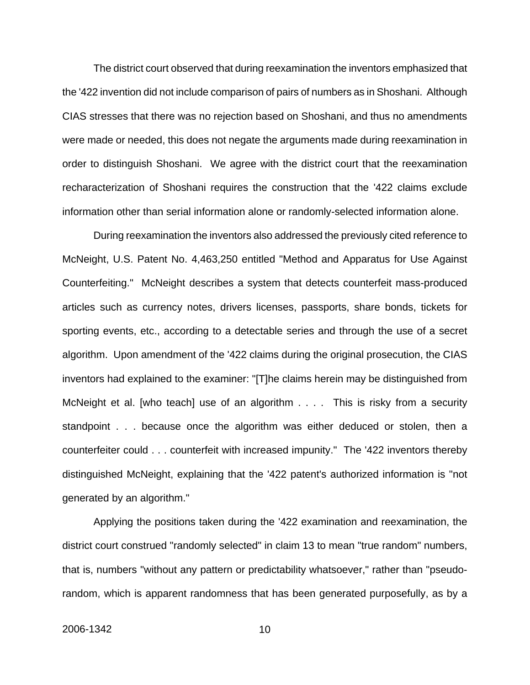The district court observed that during reexamination the inventors emphasized that the '422 invention did not include comparison of pairs of numbers as in Shoshani. Although CIAS stresses that there was no rejection based on Shoshani, and thus no amendments were made or needed, this does not negate the arguments made during reexamination in order to distinguish Shoshani. We agree with the district court that the reexamination recharacterization of Shoshani requires the construction that the '422 claims exclude information other than serial information alone or randomly-selected information alone.

During reexamination the inventors also addressed the previously cited reference to McNeight, U.S. Patent No. 4,463,250 entitled "Method and Apparatus for Use Against Counterfeiting." McNeight describes a system that detects counterfeit mass-produced articles such as currency notes, drivers licenses, passports, share bonds, tickets for sporting events, etc., according to a detectable series and through the use of a secret algorithm. Upon amendment of the '422 claims during the original prosecution, the CIAS inventors had explained to the examiner: "[T]he claims herein may be distinguished from McNeight et al. [who teach] use of an algorithm . . . . This is risky from a security standpoint . . . because once the algorithm was either deduced or stolen, then a counterfeiter could . . . counterfeit with increased impunity." The '422 inventors thereby distinguished McNeight, explaining that the '422 patent's authorized information is "not generated by an algorithm."

Applying the positions taken during the '422 examination and reexamination, the district court construed "randomly selected" in claim 13 to mean "true random" numbers, that is, numbers "without any pattern or predictability whatsoever," rather than "pseudorandom, which is apparent randomness that has been generated purposefully, as by a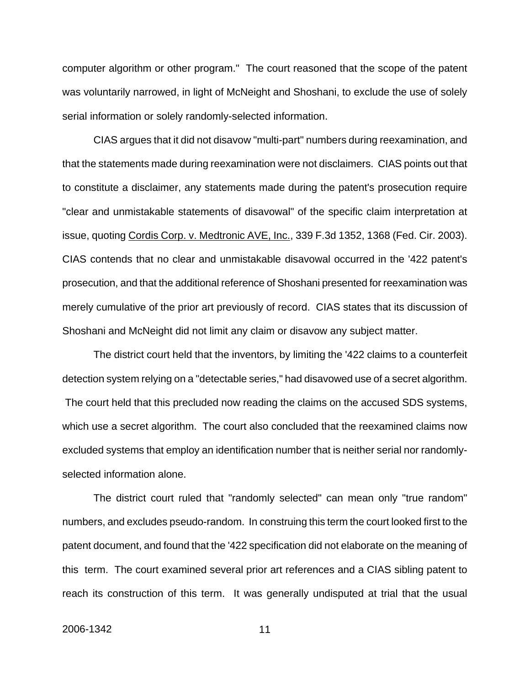computer algorithm or other program." The court reasoned that the scope of the patent was voluntarily narrowed, in light of McNeight and Shoshani, to exclude the use of solely serial information or solely randomly-selected information.

CIAS argues that it did not disavow "multi-part" numbers during reexamination, and that the statements made during reexamination were not disclaimers. CIAS points out that to constitute a disclaimer, any statements made during the patent's prosecution require "clear and unmistakable statements of disavowal" of the specific claim interpretation at issue, quoting Cordis Corp. v. Medtronic AVE, Inc., 339 F.3d 1352, 1368 (Fed. Cir. 2003). CIAS contends that no clear and unmistakable disavowal occurred in the '422 patent's prosecution, and that the additional reference of Shoshani presented for reexamination was merely cumulative of the prior art previously of record. CIAS states that its discussion of Shoshani and McNeight did not limit any claim or disavow any subject matter.

The district court held that the inventors, by limiting the '422 claims to a counterfeit detection system relying on a "detectable series," had disavowed use of a secret algorithm. The court held that this precluded now reading the claims on the accused SDS systems, which use a secret algorithm. The court also concluded that the reexamined claims now excluded systems that employ an identification number that is neither serial nor randomlyselected information alone.

The district court ruled that "randomly selected" can mean only "true random" numbers, and excludes pseudo-random. In construing this term the court looked first to the patent document, and found that the '422 specification did not elaborate on the meaning of this term. The court examined several prior art references and a CIAS sibling patent to reach its construction of this term. It was generally undisputed at trial that the usual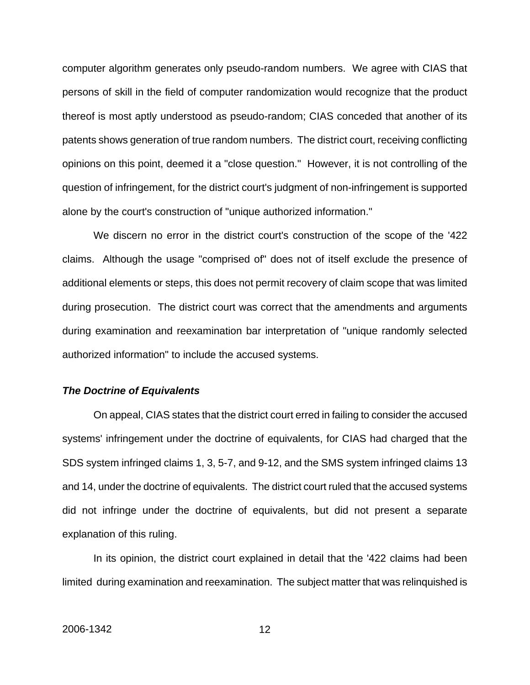computer algorithm generates only pseudo-random numbers. We agree with CIAS that persons of skill in the field of computer randomization would recognize that the product thereof is most aptly understood as pseudo-random; CIAS conceded that another of its patents shows generation of true random numbers. The district court, receiving conflicting opinions on this point, deemed it a "close question." However, it is not controlling of the question of infringement, for the district court's judgment of non-infringement is supported alone by the court's construction of "unique authorized information."

We discern no error in the district court's construction of the scope of the '422 claims. Although the usage "comprised of" does not of itself exclude the presence of additional elements or steps, this does not permit recovery of claim scope that was limited during prosecution. The district court was correct that the amendments and arguments during examination and reexamination bar interpretation of "unique randomly selected authorized information" to include the accused systems.

#### *The Doctrine of Equivalents*

On appeal, CIAS states that the district court erred in failing to consider the accused systems' infringement under the doctrine of equivalents, for CIAS had charged that the SDS system infringed claims 1, 3, 5-7, and 9-12, and the SMS system infringed claims 13 and 14, under the doctrine of equivalents. The district court ruled that the accused systems did not infringe under the doctrine of equivalents, but did not present a separate explanation of this ruling.

In its opinion, the district court explained in detail that the '422 claims had been limited during examination and reexamination. The subject matter that was relinquished is